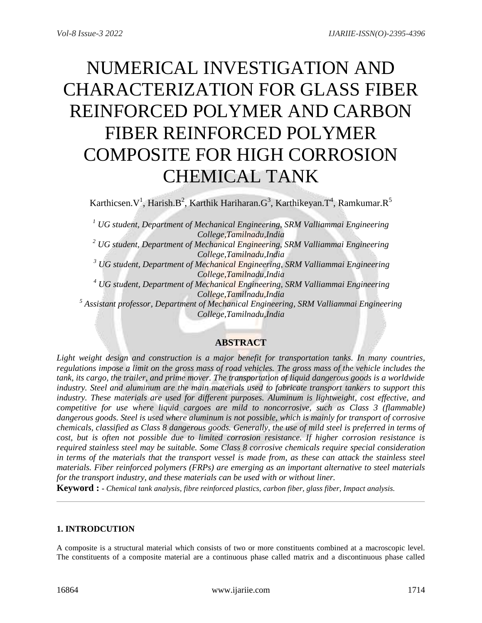# NUMERICAL INVESTIGATION AND CHARACTERIZATION FOR GLASS FIBER REINFORCED POLYMER AND CARBON FIBER REINFORCED POLYMER COMPOSITE FOR HIGH CORROSION CHEMICAL TANK

Karthicsen. $V^1$ , Harish. $B^2$ , Karthik Hariharan. $G^3$ , Karthikeyan. $T^4$ , Ramkumar. $R^5$ 

*<sup>1</sup> UG student, Department of Mechanical Engineering, SRM Valliammai Engineering College,Tamilnadu,India*

*<sup>2</sup> UG student, Department of Mechanical Engineering, SRM Valliammai Engineering College,Tamilnadu,India*

*<sup>3</sup> UG student, Department of Mechanical Engineering, SRM Valliammai Engineering College,Tamilnadu,India*

*<sup>4</sup> UG student, Department of Mechanical Engineering, SRM Valliammai Engineering College,Tamilnadu,India*

*<sup>5</sup> Assistant professor, Department of Mechanical Engineering, SRM Valliammai Engineering College,Tamilnadu,India*

# **ABSTRACT**

*Light weight design and construction is a major benefit for transportation tanks. In many countries, regulations impose a limit on the gross mass of road vehicles. The gross mass of the vehicle includes the tank, its cargo, the trailer, and prime mover. The transportation of liquid dangerous goods is a worldwide industry. Steel and aluminum are the main materials used to fabricate transport tankers to support this industry. These materials are used for different purposes. Aluminum is lightweight, cost effective, and competitive for use where liquid cargoes are mild to noncorrosive, such as Class 3 (flammable) dangerous goods. Steel is used where aluminum is not possible, which is mainly for transport of corrosive chemicals, classified as Class 8 dangerous goods. Generally, the use of mild steel is preferred in terms of cost, but is often not possible due to limited corrosion resistance. If higher corrosion resistance is required stainless steel may be suitable. Some Class 8 corrosive chemicals require special consideration in terms of the materials that the transport vessel is made from, as these can attack the stainless steel materials. Fiber reinforced polymers (FRPs) are emerging as an important alternative to steel materials for the transport industry, and these materials can be used with or without liner.*

**Keyword : -** *Chemical tank analysis, fibre reinforced plastics, carbon fiber, glass fiber, Impact analysis.*

### **1. INTRODCUTION**

A composite is a structural material which consists of two or more constituents combined at a macroscopic level. The constituents of a composite material are a continuous phase called matrix and a discontinuous phase called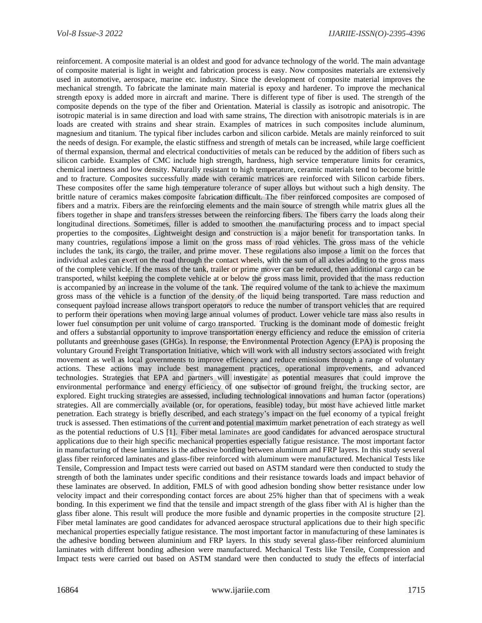reinforcement. A composite material is an oldest and good for advance technology of the world. The main advantage of composite material is light in weight and fabrication process is easy. Now composites materials are extensively used in automotive, aerospace, marine etc. industry. Since the development of composite material improves the mechanical strength. To fabricate the laminate main material is epoxy and hardener. To improve the mechanical strength epoxy is added more in aircraft and marine. There is different type of fiber is used. The strength of the composite depends on the type of the fiber and Orientation. Material is classily as isotropic and anisotropic. The isotropic material is in same direction and load with same strains, The direction with anisotropic materials is in are loads are created with strains and shear strain. Examples of matrices in such composites include aluminum, magnesium and titanium. The typical fiber includes carbon and silicon carbide. Metals are mainly reinforced to suit the needs of design. For example, the elastic stiffness and strength of metals can be increased, while large coefficient of thermal expansion, thermal and electrical conductivities of metals can be reduced by the addition of fibers such as silicon carbide. Examples of CMC include high strength, hardness, high service temperature limits for ceramics, chemical inertness and low density. Naturally resistant to high temperature, ceramic materials tend to become brittle and to fracture. Composites successfully made with ceramic matrices are reinforced with Silicon carbide fibers. These composites offer the same high temperature tolerance of super alloys but without such a high density. The brittle nature of ceramics makes composite fabrication difficult. The fiber reinforced composites are composed of fibers and a matrix. Fibers are the reinforcing elements and the main source of strength while matrix glues all the fibers together in shape and transfers stresses between the reinforcing fibers. The fibers carry the loads along their longitudinal directions. Sometimes, filler is added to smoothen the manufacturing process and to impact special properties to the composites. Lightweight design and construction is a major benefit for transportation tanks. In many countries, regulations impose a limit on the gross mass of road vehicles. The gross mass of the vehicle includes the tank, its cargo, the trailer, and prime mover. These regulations also impose a limit on the forces that individual axles can exert on the road through the contact wheels, with the sum of all axles adding to the gross mass of the complete vehicle. If the mass of the tank, trailer or prime mover can be reduced, then additional cargo can be transported, whilst keeping the complete vehicle at or below the gross mass limit, provided that the mass reduction is accompanied by an increase in the volume of the tank. The required volume of the tank to achieve the maximum gross mass of the vehicle is a function of the density of the liquid being transported. Tare mass reduction and consequent payload increase allows transport operators to reduce the number of transport vehicles that are required to perform their operations when moving large annual volumes of product. Lower vehicle tare mass also results in lower fuel consumption per unit volume of cargo transported. Trucking is the dominant mode of domestic freight and offers a substantial opportunity to improve transportation energy efficiency and reduce the emission of criteria pollutants and greenhouse gases (GHGs). In response, the Environmental Protection Agency (EPA) is proposing the voluntary Ground Freight Transportation Initiative, which will work with all industry sectors associated with freight movement as well as local governments to improve efficiency and reduce emissions through a range of voluntary actions. These actions may include best management practices, operational improvements, and advanced technologies. Strategies that EPA and partners will investigate as potential measures that could improve the environmental performance and energy efficiency of one subsector of ground freight, the trucking sector, are explored. Eight trucking strategies are assessed, including technological innovations and human factor (operations) strategies. All are commercially available (or, for operations, feasible) today, but most have achieved little market penetration. Each strategy is briefly described, and each strategy's impact on the fuel economy of a typical freight truck is assessed. Then estimations of the current and potential maximum market penetration of each strategy as well as the potential reductions of U.S [1]. Fiber metal laminates are good candidates for advanced aerospace structural applications due to their high specific mechanical properties especially fatigue resistance. The most important factor in manufacturing of these laminates is the adhesive bonding between aluminum and FRP layers. In this study several glass fiber reinforced laminates and glass-fiber reinforced with aluminum were manufactured. Mechanical Tests like Tensile, Compression and Impact tests were carried out based on ASTM standard were then conducted to study the strength of both the laminates under specific conditions and their resistance towards loads and impact behavior of these laminates are observed. In addition, FMLS of with good adhesion bonding show better resistance under low velocity impact and their corresponding contact forces are about 25% higher than that of specimens with a weak bonding. In this experiment we find that the tensile and impact strength of the glass fiber with Al is higher than the glass fiber alone. This result will produce the more fusible and dynamic properties in the composite structure [2]. Fiber metal laminates are good candidates for advanced aerospace structural applications due to their high specific mechanical properties especially fatigue resistance. The most important factor in manufacturing of these laminates is the adhesive bonding between aluminium and FRP layers. In this study several glass-fiber reinforced aluminium laminates with different bonding adhesion were manufactured. Mechanical Tests like Tensile, Compression and Impact tests were carried out based on ASTM standard were then conducted to study the effects of interfacial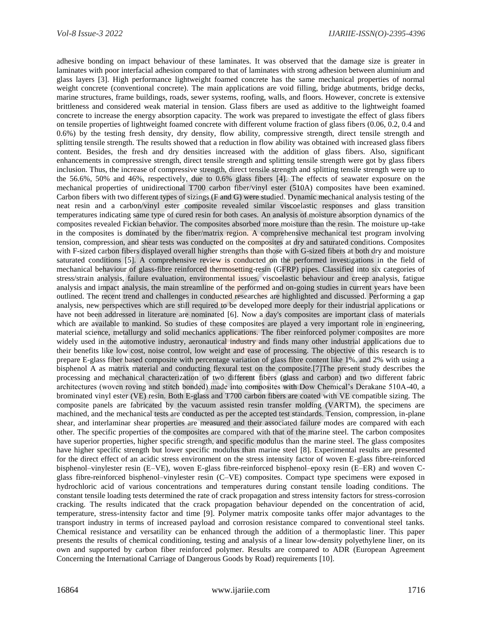adhesive bonding on impact behaviour of these laminates. It was observed that the damage size is greater in laminates with poor interfacial adhesion compared to that of laminates with strong adhesion between aluminium and glass layers [3]. High performance lightweight foamed concrete has the same mechanical properties of normal weight concrete (conventional concrete). The main applications are void filling, bridge abutments, bridge decks, marine structures, frame buildings, roads, sewer systems, roofing, walls, and floors. However, concrete is extensive brittleness and considered weak material in tension. Glass fibers are used as additive to the lightweight foamed concrete to increase the energy absorption capacity. The work was prepared to investigate the effect of glass fibers on tensile properties of lightweight foamed concrete with different volume fraction of glass fibers (0.06, 0.2, 0.4 and 0.6%) by the testing fresh density, dry density, flow ability, compressive strength, direct tensile strength and splitting tensile strength. The results showed that a reduction in flow ability was obtained with increased glass fibers content. Besides, the fresh and dry densities increased with the addition of glass fibers. Also, significant enhancements in compressive strength, direct tensile strength and splitting tensile strength were got by glass fibers inclusion. Thus, the increase of compressive strength, direct tensile strength and splitting tensile strength were up to the 56.6%, 50% and 46%, respectively, due to 0.6% glass fibers [4]. The effects of seawater exposure on the mechanical properties of unidirectional T700 carbon fiber/vinyl ester (510A) composites have been examined. Carbon fibers with two different types of sizings (F and G) were studied. Dynamic mechanical analysis testing of the neat resin and a carbon/vinyl ester composite revealed similar viscoelastic responses and glass transition temperatures indicating same type of cured resin for both cases. An analysis of moisture absorption dynamics of the composites revealed Fickian behavior. The composites absorbed more moisture than the resin. The moisture up-take in the composites is dominated by the fiber/matrix region. A comprehensive mechanical test program involving tension, compression, and shear tests was conducted on the composites at dry and saturated conditions. Composites with F-sized carbon fibers displayed overall higher strengths than those with G-sized fibers at both dry and moisture saturated conditions [5]. A comprehensive review is conducted on the performed investigations in the field of mechanical behaviour of glass-fibre reinforced thermosetting-resin (GFRP) pipes. Classified into six categories of stress/strain analysis, failure evaluation, environmental issues, viscoelastic behaviour and creep analysis, fatigue analysis and impact analysis, the main streamline of the performed and on-going studies in current years have been outlined. The recent trend and challenges in conducted researches are highlighted and discussed. Performing a gap analysis, new perspectives which are still required to be developed more deeply for their industrial applications or have not been addressed in literature are nominated [6]. Now a day's composites are important class of materials which are available to mankind. So studies of these composites are played a very important role in engineering, material science, metallurgy and solid mechanics applications. The fiber reinforced polymer composites are more widely used in the automotive industry, aeronautical industry and finds many other industrial applications due to their benefits like low cost, noise control, low weight and ease of processing. The objective of this research is to prepare E-glass fiber based composite with percentage variation of glass fibre content like 1%. and 2% with using a bisphenol A as matrix material and conducting flexural test on the composite.[7]The present study describes the processing and mechanical characterization of two different fibers (glass and carbon) and two different fabric architectures (woven roving and stitch bonded) made into composites with Dow Chemical's Derakane 510A-40, a brominated vinyl ester (VE) resin. Both E-glass and T700 carbon fibers are coated with VE compatible sizing. The composite panels are fabricated by the vacuum assisted resin transfer molding (VARTM), the specimens are machined, and the mechanical tests are conducted as per the accepted test standards. Tension, compression, in-plane shear, and interlaminar shear properties are measured and their associated failure modes are compared with each other. The specific properties of the composites are compared with that of the marine steel. The carbon composites have superior properties, higher specific strength, and specific modulus than the marine steel. The glass composites have higher specific strength but lower specific modulus than marine steel [8]. Experimental results are presented for the direct effect of an acidic stress environment on the stress intensity factor of woven E-glass fibre-reinforced bisphenol–vinylester resin (E–VE), woven E-glass fibre-reinforced bisphenol–epoxy resin (E–ER) and woven Cglass fibre-reinforced bisphenol–vinylester resin (C–VE) composites. Compact type specimens were exposed in hydrochloric acid of various concentrations and temperatures during constant tensile loading conditions. The constant tensile loading tests determined the rate of crack propagation and stress intensity factors for stress-corrosion cracking. The results indicated that the crack propagation behaviour depended on the concentration of acid, temperature, stress-intensity factor and time [9]. Polymer matrix composite tanks offer major advantages to the transport industry in terms of increased payload and corrosion resistance compared to conventional steel tanks. Chemical resistance and versatility can be enhanced through the addition of a thermoplastic liner. This paper presents the results of chemical conditioning, testing and analysis of a linear low-density polyethylene liner, on its own and supported by carbon fiber reinforced polymer. Results are compared to ADR (European Agreement Concerning the International Carriage of Dangerous Goods by Road) requirements [10].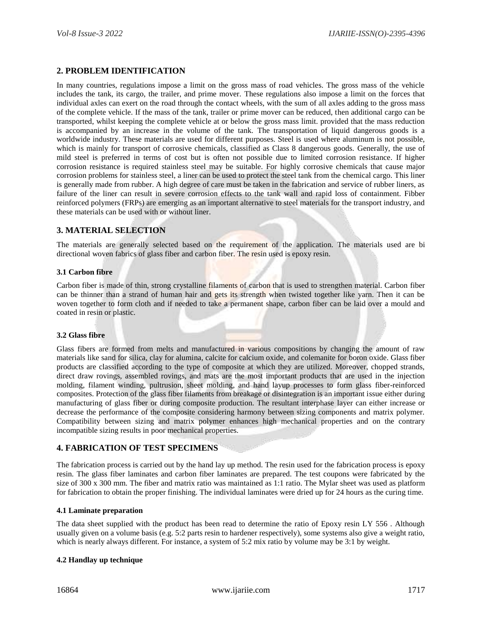# **2. PROBLEM IDENTIFICATION**

In many countries, regulations impose a limit on the gross mass of road vehicles. The gross mass of the vehicle includes the tank, its cargo, the trailer, and prime mover. These regulations also impose a limit on the forces that individual axles can exert on the road through the contact wheels, with the sum of all axles adding to the gross mass of the complete vehicle. If the mass of the tank, trailer or prime mover can be reduced, then additional cargo can be transported, whilst keeping the complete vehicle at or below the gross mass limit. provided that the mass reduction is accompanied by an increase in the volume of the tank. The transportation of liquid dangerous goods is a worldwide industry. These materials are used for different purposes. Steel is used where aluminum is not possible, which is mainly for transport of corrosive chemicals, classified as Class 8 dangerous goods. Generally, the use of mild steel is preferred in terms of cost but is often not possible due to limited corrosion resistance. If higher corrosion resistance is required stainless steel may be suitable. For highly corrosive chemicals that cause major corrosion problems for stainless steel, a liner can be used to protect the steel tank from the chemical cargo. This liner is generally made from rubber. A high degree of care must be taken in the fabrication and service of rubber liners, as failure of the liner can result in severe corrosion effects to the tank wall and rapid loss of containment. Fibber reinforced polymers (FRPs) are emerging as an important alternative to steel materials for the transport industry, and these materials can be used with or without liner.

# **3. MATERIAL SELECTION**

The materials are generally selected based on the requirement of the application. The materials used are bi directional woven fabrics of glass fiber and carbon fiber. The resin used is epoxy resin.

### **3.1 Carbon fibre**

Carbon fiber is made of thin, strong crystalline filaments of carbon that is used to strengthen material. Carbon fiber can be thinner than a strand of human hair and gets its strength when twisted together like yarn. Then it can be woven together to form cloth and if needed to take a permanent shape, carbon fiber can be laid over a mould and coated in resin or plastic.

### **3.2 Glass fibre**

Glass fibers are formed from melts and manufactured in various compositions by changing the amount of raw materials like sand for silica, clay for alumina, calcite for calcium oxide, and colemanite for boron oxide. Glass fiber products are classified according to the type of composite at which they are utilized. Moreover, chopped strands, direct draw rovings, assembled rovings, and mats are the most important products that are used in the injection molding, filament winding, pultrusion, sheet molding, and hand layup processes to form glass fiber-reinforced composites. Protection of the glass fiber filaments from breakage or disintegration is an important issue either during manufacturing of glass fiber or during composite production. The resultant interphase layer can either increase or decrease the performance of the composite considering harmony between sizing components and matrix polymer. Compatibility between sizing and matrix polymer enhances high mechanical properties and on the contrary incompatible sizing results in poor mechanical properties.

# **4. FABRICATION OF TEST SPECIMENS**

The fabrication process is carried out by the hand lay up method. The resin used for the fabrication process is epoxy resin. The glass fiber laminates and carbon fiber laminates are prepared. The test coupons were fabricated by the size of 300 x 300 mm. The fiber and matrix ratio was maintained as 1:1 ratio. The Mylar sheet was used as platform for fabrication to obtain the proper finishing. The individual laminates were dried up for 24 hours as the curing time.

### **4.1 Laminate preparation**

The data sheet supplied with the product has been read to determine the ratio of Epoxy resin LY 556 . Although usually given on a volume basis (e.g. 5:2 parts resin to hardener respectively), some systems also give a weight ratio, which is nearly always different. For instance, a system of 5:2 mix ratio by volume may be 3:1 by weight.

### **4.2 Handlay up technique**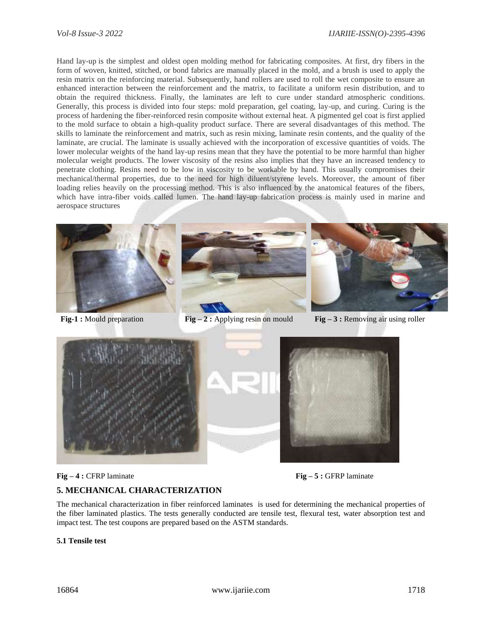Hand lay-up is the simplest and oldest open molding method for fabricating composites. At first, dry fibers in the form of woven, knitted, stitched, or bond fabrics are manually placed in the mold, and a brush is used to apply the resin matrix on the reinforcing material. Subsequently, hand rollers are used to roll the wet composite to ensure an enhanced interaction between the reinforcement and the matrix, to facilitate a uniform resin distribution, and to obtain the required thickness. Finally, the laminates are left to cure under standard atmospheric conditions. Generally, this process is divided into four steps: mold preparation, gel coating, lay-up, and curing. Curing is the process of hardening the fiber-reinforced resin composite without external heat. A pigmented gel coat is first applied to the mold surface to obtain a high-quality product surface. There are several disadvantages of this method. The skills to laminate the reinforcement and matrix, such as resin mixing, laminate resin contents, and the quality of the laminate, are crucial. The laminate is usually achieved with the incorporation of excessive quantities of voids. The lower molecular weights of the hand lay-up resins mean that they have the potential to be more harmful than higher molecular weight products. The lower viscosity of the resins also implies that they have an increased tendency to penetrate clothing. Resins need to be low in viscosity to be workable by hand. This usually compromises their mechanical/thermal properties, due to the need for high diluent/styrene levels. Moreover, the amount of fiber loading relies heavily on the processing method. This is also influenced by the anatomical features of the fibers, which have intra-fiber voids called lumen. The hand lay-up fabrication process is mainly used in marine and aerospace structures







**Fig-1 :** Mould preparation **Fig-2 :** Applying resin on mould **Fig-3 :** Removing air using roller





### **5. MECHANICAL CHARACTERIZATION**

The mechanical characterization in fiber reinforced laminates is used for determining the mechanical properties of the fiber laminated plastics. The tests generally conducted are tensile test, flexural test, water absorption test and impact test. The test coupons are prepared based on the ASTM standards.

### **5.1 Tensile test**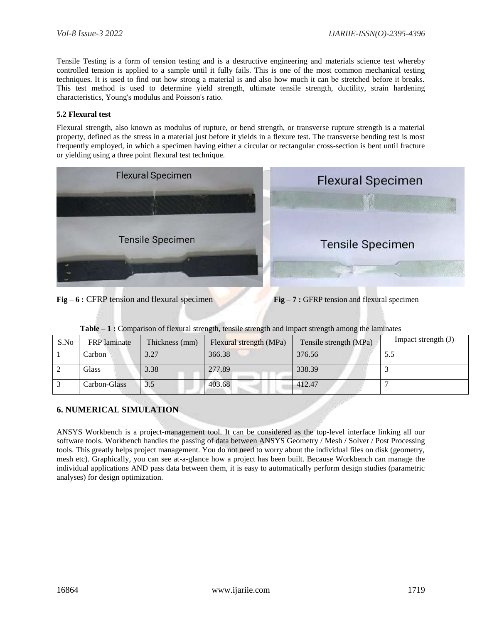Tensile Testing is a form of tension testing and is a destructive engineering and materials science test whereby controlled tension is applied to a sample until it fully fails. This is one of the most common mechanical testing techniques. It is used to find out how strong a material is and also how much it can be stretched before it breaks. This test method is used to determine yield strength, ultimate tensile strength, ductility, strain hardening characteristics, Young's modulus and Poisson's ratio.

### **5.2 Flexural test**

Flexural strength, also known as modulus of rupture, or bend strength, or transverse rupture strength is a material property, defined as the stress in a material just before it yields in a flexure test. The transverse bending test is most frequently employed, in which a specimen having either a circular or rectangular cross-section is bent until fracture or yielding using a three point flexural test technique.



**Fig – 6 :** CFRP tension and flexural specimen **Fig – 7 :** GFRP tension and flexural specimen

|  |  | Table – 1: Comparison of flexural strength, tensile strength and impact strength among the laminates |  |  |
|--|--|------------------------------------------------------------------------------------------------------|--|--|
|  |  |                                                                                                      |  |  |

| S.No | <b>FRP</b> laminate | Thickness (mm) | Flexural strength (MPa) | Tensile strength (MPa) | Impact strength $(J)$ |
|------|---------------------|----------------|-------------------------|------------------------|-----------------------|
|      | Carbon              | 3.27           | 366.38                  | 376.56                 | 5.5                   |
|      | <b>Glass</b>        | 3.38           | 277.89                  | 338.39                 |                       |
|      | Carbon-Glass        | 3.5            | 403.68                  | 412.47                 |                       |

# **6. NUMERICAL SIMULATION**

ANSYS Workbench is a project-management tool. It can be considered as the top-level interface linking all our software tools. Workbench handles the passing of data between ANSYS Geometry / Mesh / Solver / Post Processing tools. This greatly helps project management. You do not need to worry about the individual files on disk (geometry, mesh etc). Graphically, you can see at-a-glance how a project has been built. Because Workbench can manage the individual applications AND pass data between them, it is easy to automatically perform design studies (parametric analyses) for design optimization.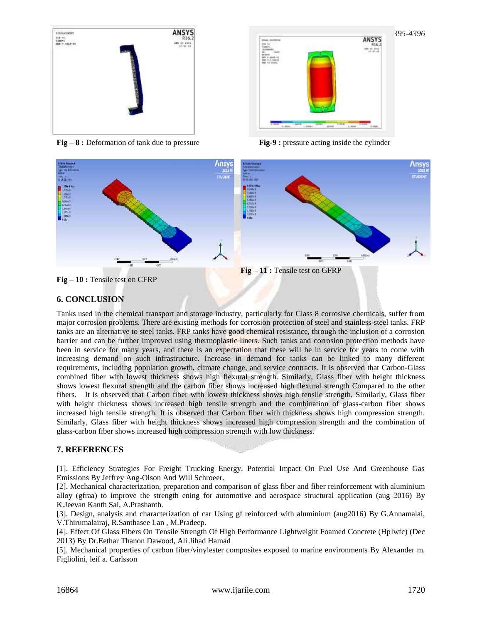

**Fig – 8** : Deformation of tank due to pressure **Fig-9** : **Fig-9** : **Pressure acting inside the cylinder** 

| <b><i>MAL RUTLE</i></b><br>-<br><b>MS</b><br><b>EXAMPLE</b>                   | ANSYS                                             |
|-------------------------------------------------------------------------------|---------------------------------------------------|
| <b>Iteratories</b><br>$\overline{a}$<br>14.09<br><b>ATTANI</b><br>$4442 - 54$ | <b><i>USE OF STOP</i></b><br>19.<br>$-30.95$<br>w |
| 371,30110<br>Not vol. Joseph                                                  |                                                   |
|                                                                               |                                                   |
|                                                                               |                                                   |
|                                                                               |                                                   |
|                                                                               |                                                   |
|                                                                               |                                                   |
| 20001<br><b>TERRITORY</b><br>$-1000$                                          | LEED<br><b>Little</b>                             |



# **6. CONCLUSION**

Tanks used in the chemical transport and storage industry, particularly for Class 8 corrosive chemicals, suffer from major corrosion problems. There are existing methods for corrosion protection of steel and stainless-steel tanks. FRP tanks are an alternative to steel tanks. FRP tanks have good chemical resistance, through the inclusion of a corrosion barrier and can be further improved using thermoplastic liners. Such tanks and corrosion protection methods have been in service for many years, and there is an expectation that these will be in service for years to come with increasing demand on such infrastructure. Increase in demand for tanks can be linked to many different requirements, including population growth, climate change, and service contracts. It is observed that Carbon-Glass combined fiber with lowest thickness shows high flexural strength. Similarly, Glass fiber with height thickness shows lowest flexural strength and the carbon fiber shows increased high flexural strength Compared to the other fibers. It is observed that Carbon fiber with lowest thickness shows high tensile strength. Similarly, Glass fiber with height thickness shows increased high tensile strength and the combination of glass-carbon fiber shows increased high tensile strength. It is observed that Carbon fiber with thickness shows high compression strength. Similarly, Glass fiber with height thickness shows increased high compression strength and the combination of glass-carbon fiber shows increased high compression strength with low thickness.

# **7. REFERENCES**

[1]. Efficiency Strategies For Freight Trucking Energy, Potential Impact On Fuel Use And Greenhouse Gas Emissions By Jeffrey Ang-Olson And Will Schroeer.

[2]. Mechanical characterization, preparation and comparison of glass fiber and fiber reinforcement with aluminium alloy (gfraa) to improve the strength ening for automotive and aerospace structural application (aug 2016) By K.Jeevan Kanth Sai, A.Prashanth.

[3]. Design, analysis and characterization of car Using gf reinforced with aluminium (aug2016) By G.Annamalai, V.Thirumalairaj, R.Santhasee Lan , M.Pradeep.

[4]. Effect Of Glass Fibers On Tensile Strength Of High Performance Lightweight Foamed Concrete (Hplwfc) (Dec 2013) By Dr.Eethar Thanon Dawood, Ali Jihad Hamad

[5]. Mechanical properties of carbon fiber/vinylester composites exposed to marine environments By Alexander m. Figliolini, leif a. Carlsson